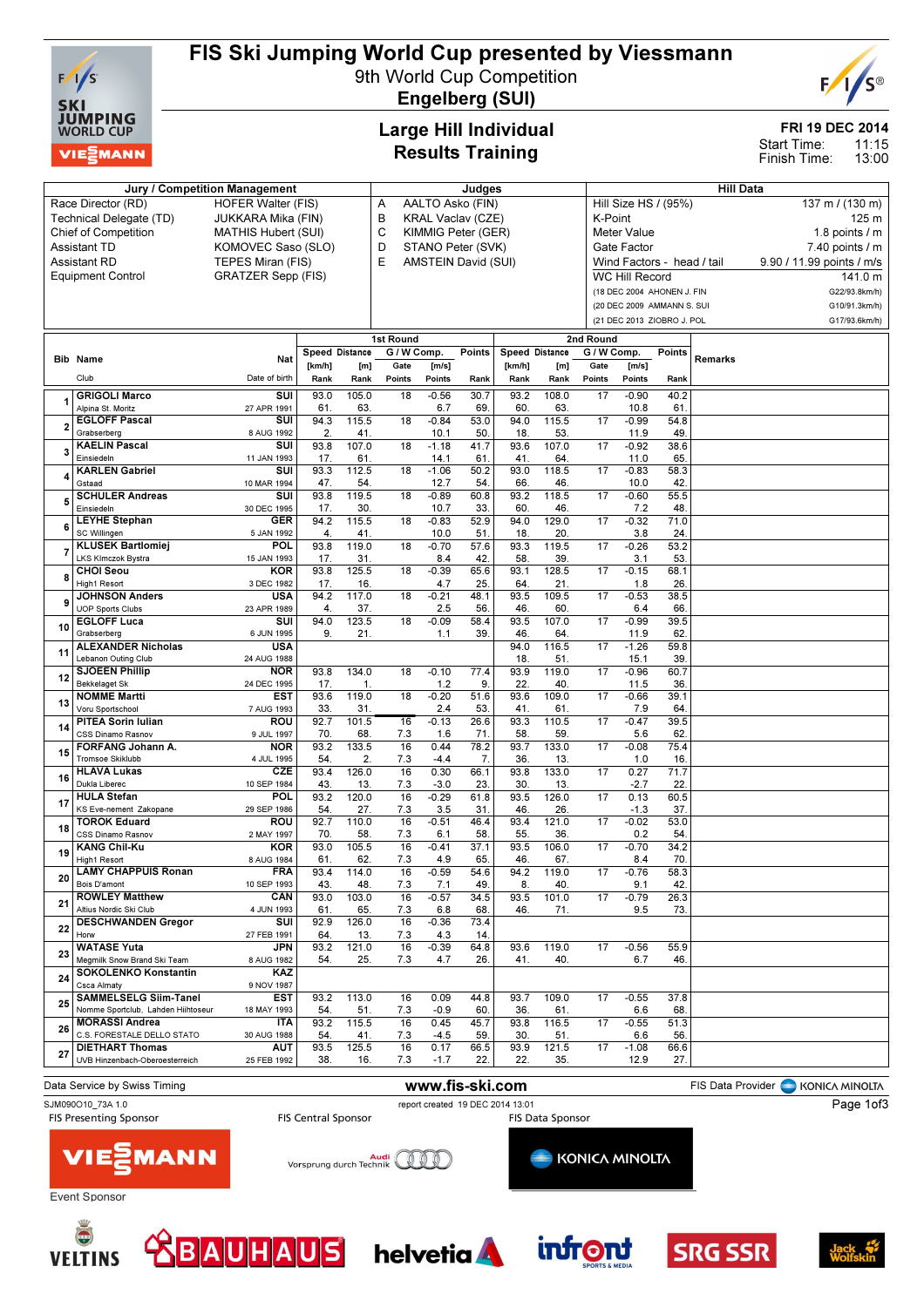

### FIS Ski Jumping World Cup presented by Viessmann

9th World Cup Competition Engelberg (SUI)



FRI 19 DEC 2014

11:15 13:00 Start Time: Finish Time:

### Large Hill Individual Results Training

|    | Jury / Competition Management                    | Judges                     |                |              |                          |                     |                    | Hill Data             |                                         |                 |                            |             |                  |                           |  |
|----|--------------------------------------------------|----------------------------|----------------|--------------|--------------------------|---------------------|--------------------|-----------------------|-----------------------------------------|-----------------|----------------------------|-------------|------------------|---------------------------|--|
|    | Race Director (RD)                               | AALTO Asko (FIN)<br>Α      |                |              |                          |                     |                    |                       | Hill Size HS / (95%)<br>137 m / (130 m) |                 |                            |             |                  |                           |  |
|    | Technical Delegate (TD)                          | JUKKARA Mika (FIN)         |                | в            | <b>KRAL Vaclav (CZE)</b> |                     |                    |                       | K-Point                                 |                 |                            |             | 125 m            |                           |  |
|    | <b>Chief of Competition</b>                      | <b>MATHIS Hubert (SUI)</b> |                | С            | KIMMIG Peter (GER)       |                     | <b>Meter Value</b> |                       |                                         |                 |                            |             | 1.8 points $/$ m |                           |  |
|    | <b>Assistant TD</b>                              | KOMOVEC Saso (SLO)         |                |              | D                        | STANO Peter (SVK)   |                    |                       |                                         |                 | Gate Factor                |             |                  | 7.40 points / m           |  |
|    | <b>Assistant RD</b>                              | TEPES Miran (FIS)          |                |              | E                        | AMSTEIN David (SUI) |                    |                       |                                         |                 | Wind Factors - head / tail |             |                  | 9.90 / 11.99 points / m/s |  |
|    | <b>Equipment Control</b>                         | <b>GRATZER Sepp (FIS)</b>  |                |              |                          |                     |                    |                       |                                         |                 | <b>WC Hill Record</b>      |             |                  | 141.0 m                   |  |
|    |                                                  |                            |                |              |                          |                     |                    |                       |                                         |                 | (18 DEC 2004 AHONEN J. FIN |             |                  | G22/93.8km/h)             |  |
|    |                                                  |                            |                |              |                          |                     |                    |                       |                                         |                 | (20 DEC 2009 AMMANN S. SUI |             |                  | G10/91.3km/h)             |  |
|    |                                                  |                            |                |              |                          |                     |                    |                       |                                         |                 |                            |             |                  |                           |  |
|    |                                                  |                            |                |              |                          |                     |                    |                       |                                         |                 | (21 DEC 2013 ZIOBRO J. POL |             |                  | G17/93.6km/h)             |  |
|    |                                                  |                            |                |              | 1st Round                |                     |                    |                       |                                         | 2nd Round       |                            |             |                  |                           |  |
|    | <b>Bib Name</b>                                  | Nat                        | Speed Distance |              | G / W Comp.              |                     | <b>Points</b>      | <b>Speed Distance</b> |                                         | G / W Comp.     |                            | Points      | Remarks          |                           |  |
|    |                                                  |                            | [km/h]         | [m]          | Gate                     | [m/s]               |                    | [km/h]                | [m]                                     | Gate            | [m/s]                      |             |                  |                           |  |
|    | Club                                             | Date of birth              | Rank           | Rank         | Points                   | Points              | Rank               | Rank                  | Rank                                    | Points          | Points                     | Rank        |                  |                           |  |
|    | <b>GRIGOLI Marco</b>                             | SUI                        | 93.0           | 105.0        | 18                       | $-0.56$             | 30.7               | 93.2                  | 108.0                                   | 17              | $-0.90$                    | 40.2        |                  |                           |  |
|    | Alpina St. Moritz                                | 27 APR 1991                | 61.            | 63.          |                          | 6.7                 | 69                 | 60                    | 63.                                     |                 | 10.8                       | 61          |                  |                           |  |
|    | <b>EGLOFF Pascal</b>                             | SUI                        | 94.3           | 115.5        | 18                       | $-0.84$             | 53.0               | 94.0                  | 115.5                                   | 17              | $-0.99$                    | 54.8        |                  |                           |  |
|    | Grabserberg                                      | 8 AUG 1992                 | 2.             | 41           |                          | 10.1                | 50                 | 18                    | 53                                      |                 | 11.9                       | 49.         |                  |                           |  |
|    | <b>KAELIN Pascal</b>                             | SUI                        | 93.8           | 107.0        | 18                       | $-1.18$             | 41.7               | 93.6                  | 107.0                                   | 17              | $-0.92$                    | 38.6        |                  |                           |  |
|    | Einsiedeln<br><b>KARLEN Gabriel</b>              | 11 JAN 1993<br>SUI         | 17.<br>93.3    | 61.<br>112.5 | 18                       | 14.1<br>$-1.06$     | 61<br>50.2         | 41<br>93.0            | 64<br>118.5                             | 17              | 11.0<br>$-0.83$            | 65.<br>58.3 |                  |                           |  |
|    | Gstaad                                           | 10 MAR 1994                | 47.            | 54           |                          | 12.7                | 54                 | 66                    | 46                                      |                 | 10.0                       | 42.         |                  |                           |  |
|    | <b>SCHULER Andreas</b>                           | SUI                        | 93.8           | 119.5        | 18                       | $-0.89$             | 60.8               | 93.2                  | 118.5                                   | 17              | $-0.60$                    | 55.5        |                  |                           |  |
| 5  | Einsiedeln                                       | 30 DEC 1995                | 17.            | 30.          |                          | 10.7                | 33.                | 60                    | 46                                      |                 | 7.2                        | 48.         |                  |                           |  |
|    | <b>LEYHE Stephan</b>                             | <b>GER</b>                 | 94.2           | 115.5        | 18                       | $-0.83$             | 52.9               | 94.0                  | 129.0                                   | 17              | $-0.32$                    | 71.0        |                  |                           |  |
| 6  | SC Willingen                                     | 5 JAN 1992                 | 4.             | 41.          |                          | 10.0                | 51.                | 18                    | 20                                      |                 | 3.8                        | 24.         |                  |                           |  |
|    | <b>KLUSEK Bartlomiej</b>                         | POL                        | 93.8           | 119.0        | 18                       | $-0.70$             | 57.6               | 93.3                  | 119.5                                   | 17              | $-0.26$                    | 53.2        |                  |                           |  |
|    | LKS Klmczok Bystra                               | 15 JAN 1993                | 17.            | 31.          |                          | 8.4                 | 42.                | 58                    | 39.                                     |                 | 3.1                        | 53.         |                  |                           |  |
| 8  | <b>CHOI Seou</b>                                 | KOR                        | 93.8           | 125.5        | $\overline{18}$          | $-0.39$             | 65.6               | 93.1                  | 128.5                                   | 17              | $-0.15$                    | 68.1        |                  |                           |  |
|    | <b>High1 Resort</b>                              | 3 DEC 1982                 | 17.            | 16.          |                          | 4.7                 | 25.                | 64                    | 21.                                     |                 | 1.8                        | 26.         |                  |                           |  |
| 9  | <b>JOHNSON Anders</b><br><b>UOP Sports Clubs</b> | <b>USA</b>                 | 94.2<br>4.     | 117.0<br>37. | 18                       | $-0.21$<br>2.5      | 48.1<br>56.        | 93.5<br>46            | 109.5<br>60                             | 17              | $-0.53$<br>6.4             | 38.5<br>66. |                  |                           |  |
|    | <b>EGLOFF Luca</b>                               | 23 APR 1989<br>SUI         | 94.0           | 123.5        | 18                       | $-0.09$             | 58.4               | 93.5                  | 107.0                                   | 17              | $-0.99$                    | 39.5        |                  |                           |  |
| 10 | Grabserberg                                      | 6 JUN 1995                 | 9.             | 21.          |                          | 1.1                 | 39.                | 46                    | 64.                                     |                 | 11.9                       | 62.         |                  |                           |  |
|    | <b>ALEXANDER Nicholas</b>                        | USA                        |                |              |                          |                     |                    | 94.0                  | 116.5                                   | 17              | $-1.26$                    | 59.8        |                  |                           |  |
| 11 | Lebanon Outing Club                              | 24 AUG 1988                |                |              |                          |                     |                    | 18                    | 51                                      |                 | 15.1                       | 39.         |                  |                           |  |
| 12 | <b>SJOEEN Phillip</b>                            | NOR                        | 93.8           | 134.0        | 18                       | $-0.10$             | 77.4               | 93.9                  | 119.0                                   | 17              | $-0.96$                    | 60.7        |                  |                           |  |
|    | <b>Bekkelaget Sk</b>                             | 24 DEC 1995                | 17.            | 1.           |                          | 1.2                 | 9.                 | 22.                   | 40                                      |                 | 11.5                       | 36.         |                  |                           |  |
| 13 | <b>NOMME Martti</b>                              | EST                        | 93.6           | 119.0        | 18                       | $-0.20$             | 51.6               | 93.6                  | 109.0                                   | 17              | $-0.66$                    | 39.1        |                  |                           |  |
|    | Voru Sportschool<br><b>PITEA Sorin Iulian</b>    | 7 AUG 1993<br>ROU          | 33.<br>92.7    | 31.<br>101.5 | $\overline{16}$          | 2.4<br>$-0.13$      | 53.<br>26.6        | 41<br>93.3            | 61<br>110.5                             | 17              | 7.9<br>$-0.47$             | 64<br>39.5  |                  |                           |  |
| 14 | CSS Dinamo Rasnov                                | 9 JUL 1997                 | 70.            | 68.          | 7.3                      | 1.6                 | 71.                | 58                    | 59                                      |                 | 5.6                        | 62.         |                  |                           |  |
|    | FORFANG Johann A.                                | NOR                        | 93.2           | 133.5        | 16                       | 0.44                | 78.2               | 93.7                  | 133.0                                   | 17              | $-0.08$                    | 75.4        |                  |                           |  |
| 15 | <b>Tromsoe Skiklubb</b>                          | 4 JUL 1995                 | 54             | 2.           | 7.3                      | $-4.4$              | 7.                 | 36                    | 13                                      |                 | 1.0                        | 16.         |                  |                           |  |
| 16 | <b>HLAVA Lukas</b>                               | CZE                        | 93.4           | 126.0        | 16                       | 0.30                | 66.1               | 93.8                  | 133.0                                   | 17              | 0.27                       | 71.7        |                  |                           |  |
|    | Dukla Liberec                                    | 10 SEP 1984                | 43.            | 13.          | 7.3                      | $-3.0$              | 23.                | 30                    | 13.                                     |                 | $-2.7$                     | 22.         |                  |                           |  |
| 17 | <b>HULA Stefan</b>                               | <b>POL</b>                 | 93.2           | 120.0        | 16                       | $-0.29$             | 61.8               | 93.5                  | 126.0                                   | 17              | 0.13                       | 60.5        |                  |                           |  |
|    | KS Eve-nement Zakopane                           | 29 SEP 1986                | 54.            | 27.          | 7.3                      | 3.5                 | 31                 | 46                    | 26.                                     |                 | $-1.3$                     | 37.         |                  |                           |  |
| 18 | <b>TOROK Eduard</b><br>CSS Dinamo Rasnov         | ROU<br>2 MAY 1997          | 92.7<br>70.    | 110.0<br>58. | 16<br>7.3                | $-0.51$<br>6.1      | 46.4<br>58.        | 93.4<br>55            | 121.0<br>36                             | $\overline{17}$ | $-0.02$<br>0.2             | 53.0<br>54  |                  |                           |  |
|    | <b>KANG Chil-Ku</b>                              | <b>KOR</b>                 | 93.0           | 105.5        | 16                       | $-0.41$             | 37.1               | 93.5                  | 106.0                                   | 17              | $-0.70$                    | 34.2        |                  |                           |  |
| 19 | <b>High1 Resort</b>                              | 8 AUG 1984                 | 61             | 62.          | 7.3                      | 4.9                 | 65                 | 46                    | 67.                                     |                 | 8.4                        | 70.         |                  |                           |  |
|    | <b>LAMY CHAPPUIS Ronan</b>                       | FRA                        | 93.4           | 114.0        | 16                       | $-0.59$             | 54.6               | 94.2                  | 119.0                                   | 17              | $-0.76$                    | 58.3        |                  |                           |  |
| 20 | Bois D'amont                                     | 10 SEP 1993                | 43.            | 48.          | 7.3                      | 7.1                 | 49.                | 8.                    | 40.                                     |                 | 9.1                        | 42.         |                  |                           |  |
| 21 | <b>ROWLEY Matthew</b>                            | CAN                        | 93.0           | 103.0        | 16                       | $-0.57$             | 34.5               | 93.5                  | 101.0                                   | 17              | $-0.79$                    | 26.3        |                  |                           |  |
|    | Altius Nordic Ski Club                           | 4 JUN 1993                 | 61.            | 65.          | 7.3                      | 6.8                 | 68.                | 46.                   | 71.                                     |                 | 9.5                        | 73.         |                  |                           |  |
| 22 | <b>DESCHWANDEN Gregor</b>                        | SUI                        | 92.9           | 126.0        | 16                       | $-0.36$             | 73.4               |                       |                                         |                 |                            |             |                  |                           |  |
|    | Horw<br><b>WATASE Yuta</b>                       | 27 FEB 1991                | 64             | 13.          | 7.3                      | 4.3                 | 14.                |                       |                                         |                 |                            |             |                  |                           |  |
| 23 | Megmilk Snow Brand Ski Team                      | JPN                        | 93.2           | 121.0        | 16                       | $-0.39$             | 64.8               | 93.6                  | 119.0                                   | 17              | $-0.56$                    | 55.9        |                  |                           |  |
|    | <b>SOKOLENKO Konstantin</b>                      | 8 AUG 1982<br>KAZ          | 54.            | 25.          | 7.3                      | 4.7                 | 26.                | 41.                   | 40.                                     |                 | 6.7                        | 46.         |                  |                           |  |
| 24 | Csca Almaty                                      | 9 NOV 1987                 |                |              |                          |                     |                    |                       |                                         |                 |                            |             |                  |                           |  |
|    | <b>SAMMELSELG Siim-Tanel</b>                     | <b>EST</b>                 | 93.2           | 113.0        | 16                       | 0.09                | 44.8               | 93.7                  | 109.0                                   | 17              | $-0.55$                    | 37.8        |                  |                           |  |
| 25 | Nomme Sportclub, Lahden Hiihtoseur               | 18 MAY 1993                | 54.            | 51.          | 7.3                      | $-0.9$              | 60.                | 36.                   | 61.                                     |                 | 6.6                        | 68.         |                  |                           |  |
| 26 | <b>MORASSI Andrea</b>                            | ITA                        | 93.2           | 115.5        | 16                       | 0.45                | 45.7               | 93.8                  | 116.5                                   | 17              | $-0.55$                    | 51.3        |                  |                           |  |
|    | C.S. FORESTALE DELLO STATO                       | 30 AUG 1988                | 54             | 41.          | 7.3                      | $-4.5$              | 59.                | 30                    | 51.                                     |                 | 6.6                        | 56.         |                  |                           |  |
| 27 | <b>DIETHART Thomas</b>                           | <b>AUT</b>                 | 93.5           | 125.5        | 16                       | 0.17                | 66.5               | 93.9                  | 121.5                                   | 17              | $-1.08$                    | 66.6        |                  |                           |  |
|    | UVB Hinzenbach-Oberoesterreich                   | 25 FEB 1992                | 38.            | 16.          | 7.3                      | $-1.7$              | 22.                | 22.                   | 35.                                     |                 | 12.9                       | 27.         |                  |                           |  |

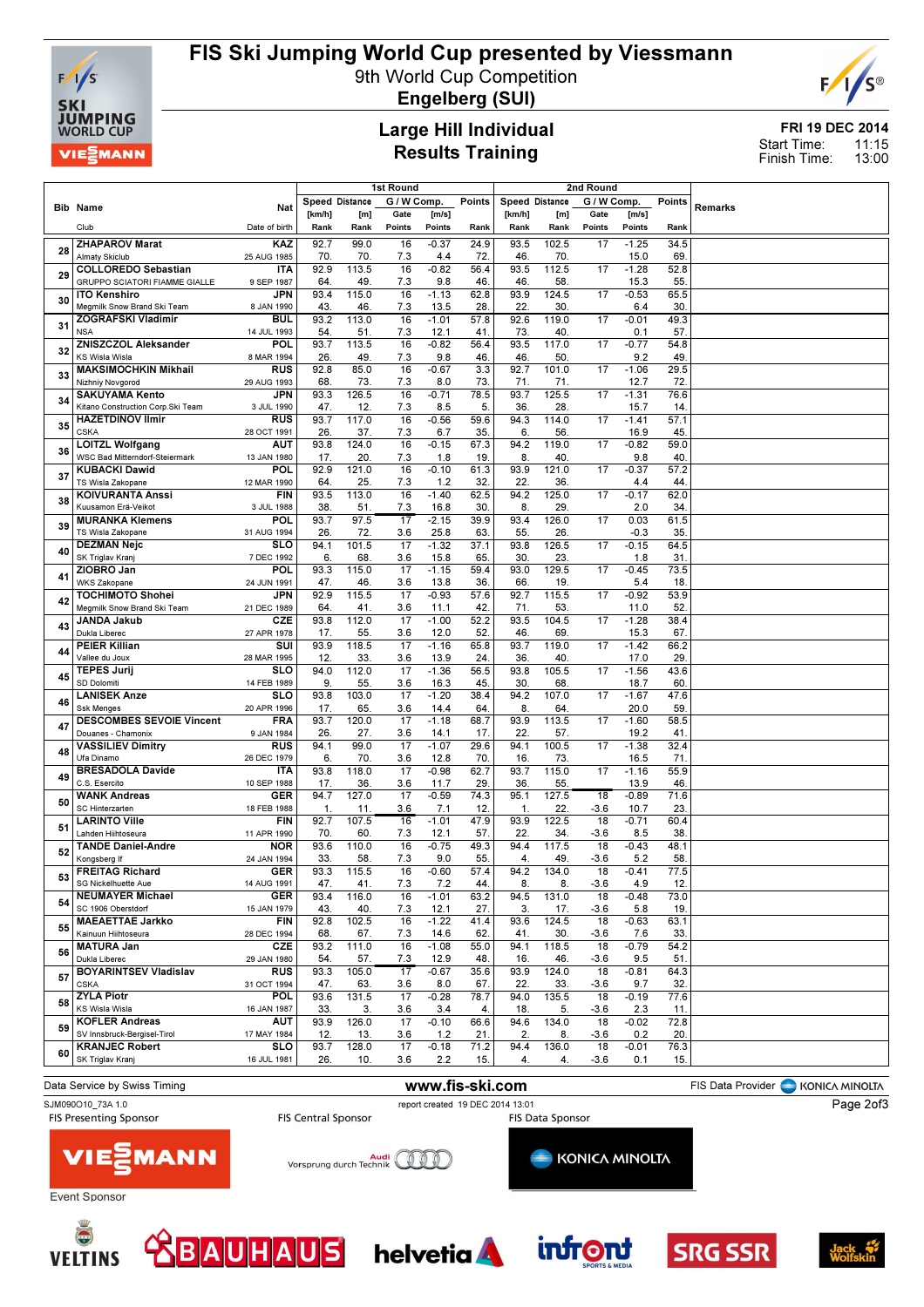

# FIS Ski Jumping World Cup presented by Viessmann

9th World Cup Competition



Engelberg (SUI)

#### Large Hill Individual Results Training

FRI 19 DEC 2014 11:15 13:00 Start Time: Finish Time:

|    |                                                                 |                           | 1st Round              |              |                        |                 |               | 2nd Round            |              |              |                 |             |         |
|----|-----------------------------------------------------------------|---------------------------|------------------------|--------------|------------------------|-----------------|---------------|----------------------|--------------|--------------|-----------------|-------------|---------|
|    | <b>Bib Name</b>                                                 | Nat                       | Speed Distance         |              | G / W Comp.            |                 | <b>Points</b> | Speed Distance       |              | G / W Comp.  |                 | Points      | Remarks |
|    |                                                                 |                           | [km/h]                 | [m]          | Gate                   | [m/s]           |               | [km/h]               | [m]          | Gate         | [m/s]           |             |         |
|    | Club                                                            | Date of birth             | Rank                   | Rank         | Points                 | Points          | Rank          | Rank                 | Rank         | Points       | Points          | Rank        |         |
| 28 | <b>ZHAPAROV Marat</b>                                           | KAZ                       | 92.7                   | 99.0         | 16                     | $-0.37$         | 24.9          | 93.5                 | 102.5        | 17           | $-1.25$         | 34.5        |         |
|    | <b>Almaty Skiclub</b><br><b>COLLOREDO Sebastian</b>             | 25 AUG 1985<br><b>ITA</b> | 70.<br>92.9            | 70.<br>113.5 | 7.3<br>16              | 4.4<br>$-0.82$  | 72.<br>56.4   | 46.<br>93.5          | 70.<br>112.5 | 17           | 15.0<br>$-1.28$ | 69.<br>52.8 |         |
| 29 | <b>GRUPPO SCIATORI FIAMME GIALLE</b>                            | 9 SEP 1987                | 64                     | 49.          | 7.3                    | 9.8             | 46.           | 46                   | 58.          |              | 15.3            | 55.         |         |
|    | <b>ITO Kenshiro</b>                                             | JPN                       | 93.4                   | 115.0        | 16                     | $-1.13$         | 62.8          | 93.9                 | 124.5        | 17           | $-0.53$         | 65.5        |         |
| 30 | Megmilk Snow Brand Ski Team                                     | 8 JAN 1990                | 43.                    | 46.          | 7.3                    | 13.5            | 28.           | 22.                  | 30.          |              | 6.4             | 30          |         |
| 31 | ZOGRAFSKI Vladimir                                              | <b>BUL</b>                | 93.2                   | 113.0        | 16                     | $-1.01$         | 57.8          | 92.6                 | 119.0        | 17           | $-0.01$         | 49.3        |         |
|    | <b>NSA</b><br><b>ZNISZCZOL Aleksander</b>                       | 14 JUL 1993<br>POL        | 54<br>93.7             | 51.<br>113.5 | 7.3<br>16              | 12.1<br>$-0.82$ | 41.<br>56.4   | 73.<br>93.5          | 40.<br>117.0 | 17           | 0.1<br>$-0.77$  | 57.<br>54.8 |         |
| 32 | <b>KS Wisla Wisla</b>                                           | 8 MAR 1994                | 26.                    | 49.          | 7.3                    | 9.8             | 46.           | 46.                  | 50.          |              | 9.2             | 49.         |         |
| 33 | <b>MAKSIMOCHKIN Mikhail</b>                                     | <b>RUS</b>                | 92.8                   | 85.0         | 16                     | $-0.67$         | 3.3           | 92.7                 | 101.0        | 17           | $-1.06$         | 29.5        |         |
|    | Nizhniy Novgorod                                                | 29 AUG 1993               | 68                     | 73.          | 7.3                    | 8.0             | 73.           | 71.                  | 71.          |              | 12.7            | 72.         |         |
| 34 | <b>SAKUYAMA Kento</b><br>Kitano Construction Corp.Ski Team      | <b>JPN</b><br>3 JUL 1990  | 93.3<br>47.            | 126.5<br>12. | 16<br>7.3              | $-0.71$<br>8.5  | 78.5<br>5.    | 93.7<br>36.          | 125.5<br>28  | 17           | $-1.31$<br>15.7 | 76.6<br>14. |         |
|    | <b>HAZETDINOV Ilmir</b>                                         | <b>RUS</b>                | 93.7                   | 117.0        | 16                     | $-0.56$         | 59.6          | 94.3                 | 114.0        | 17           | $-1.41$         | 57.1        |         |
| 35 | <b>CSKA</b>                                                     | 28 OCT 1991               | 26.                    | 37.          | 7.3                    | 6.7             | 35.           | 6.                   | 56.          |              | 16.9            | 45          |         |
| 36 | <b>LOITZL Wolfgang</b><br><b>WSC Bad Mitterndorf-Steiermark</b> | AUT<br>13 JAN 1980        | 93.8<br>17.            | 124.0<br>20. | 16<br>7.3              | $-0.15$<br>1.8  | 67.3<br>19.   | 94.2<br>8.           | 119.0<br>40. | 17           | $-0.82$<br>9.8  | 59.0<br>40. |         |
|    | <b>KUBACKI Dawid</b>                                            | POL                       | 92.9                   | 121.0        | 16                     | $-0.10$         | 61.3          | 93.9                 | 121.0        | 17           | $-0.37$         | 57.2        |         |
| 37 | TS Wisla Zakopane                                               | 12 MAR 1990               | 64                     | 25.          | 7.3                    | 1.2             | 32.           | 22.                  | 36.          |              | 4.4             | 44.         |         |
| 38 | <b>KOIVURANTA Anssi</b>                                         | <b>FIN</b>                | 93.5                   | 113.0        | 16                     | $-1.40$         | 62.5          | 94.2                 | 125.0        | 17           | $-0.17$         | 62.0        |         |
|    | Kuusamon Erä-Veikot                                             | 3 JUL 1988<br><b>POL</b>  | 38.<br>93.7            | 51.<br>97.5  | 7.3<br>17              | 16.8<br>$-2.15$ | 30.<br>39.9   | 8.<br>93.4           | 29.<br>126.0 | 17           | 2.0<br>0.03     | 34.<br>61.5 |         |
| 39 | <b>MURANKA Klemens</b><br>TS Wisla Zakopane                     | 31 AUG 1994               | 26.                    | 72.          | 3.6                    | 25.8            | 63.           | 55.                  | 26.          |              | $-0.3$          | 35          |         |
| 40 | <b>DEZMAN Nejc</b>                                              | SLO                       | 94.1                   | 101.5        | 17                     | $-1.32$         | 37.1          | 93.8                 | 126.5        | 17           | $-0.15$         | 64.5        |         |
|    | SK Triglav Kranj                                                | 7 DEC 1992                | 6.                     | 68.          | 3.6                    | 15.8            | 65.           | 30.                  | 23.          |              | 1.8             | 31.         |         |
| 41 | ZIOBRO Jan<br><b>WKS Zakopane</b>                               | POL<br>24 JUN 1991        | 93.3<br>47.            | 115.0<br>46. | 17<br>3.6              | $-1.15$<br>13.8 | 59.4<br>36.   | 93.0<br>66.          | 129.5<br>19. | 17           | $-0.45$<br>5.4  | 73.5<br>18. |         |
|    | <b>TOCHIMOTO Shohei</b>                                         | JPN                       | 92.9                   | 115.5        | 17                     | $-0.93$         | 57.6          | 92.7                 | 115.5        | 17           | $-0.92$         | 53.9        |         |
| 42 | Megmilk Snow Brand Ski Team                                     | 21 DEC 1989               | 64                     | 41.          | 3.6                    | 11.1            | 42.           | 71.                  | 53.          |              | 11.0            | 52.         |         |
| 43 | <b>JANDA Jakub</b><br>Dukla Liberec                             | CZE                       | 93.8                   | 112.0        | 17                     | $-1.00$         | 52.2          | 93.5                 | 104.5        | 17           | $-1.28$         | 38.4        |         |
|    | <b>PEIER Killian</b>                                            | 27 APR 1978<br>SUI        | 17.<br>93.9            | 55.<br>118.5 | 3.6<br>17              | 12.0<br>$-1.16$ | 52.<br>65.8   | 46.<br>93.7          | 69.<br>119.0 | 17           | 15.3<br>$-1.42$ | 67<br>66.2  |         |
| 44 | Vallee du Joux                                                  | 28 MAR 1995               | 12.                    | 33.          | 3.6                    | 13.9            | 24.           | 36.                  | 40.          |              | 17.0            | 29.         |         |
| 45 | <b>TEPES Jurij</b><br>SD Dolomiti                               | <b>SLO</b>                | 94.0                   | 112.0        | 17                     | $-1.36$         | 56.5          | 93.8                 | 105.5        | 17           | $-1.56$         | 43.6        |         |
|    | <b>LANISEK Anze</b>                                             | 14 FEB 1989<br>SLO        | 9.<br>93.8             | 55.<br>103.0 | 3.6<br>$\overline{17}$ | 16.3<br>$-1.20$ | 45.<br>38.4   | 30.<br>94.2          | 68<br>107.0  | 17           | 18.7<br>$-1.67$ | 60.<br>47.6 |         |
| 46 | <b>Ssk Menges</b>                                               | 20 APR 1996               | 17.                    | 65.          | 3.6                    | 14.4            | 64.           | 8.                   | 64.          |              | 20.0            | 59          |         |
| 47 | <b>DESCOMBES SEVOIE Vincent</b>                                 | <b>FRA</b>                | 93.7                   | 120.0        | $\overline{17}$        | $-1.18$         | 68.7          | 93.9                 | 113.5        | 17           | $-1.60$         | 58.5        |         |
|    | Douanes - Chamonix                                              | 9 JAN 1984                | 26.                    | 27.          | 3.6                    | 14.1            | 17.           | 22.                  | 57.          |              | 19.2            | 41          |         |
| 48 | <b>VASSILIEV Dimitry</b><br>Ufa Dinamo                          | <b>RUS</b><br>26 DEC 1979 | 94.1<br>6.             | 99.0<br>70.  | $\overline{17}$<br>3.6 | $-1.07$<br>12.8 | 29.6<br>70.   | 94.1<br>16.          | 100.5<br>73. | 17           | $-1.38$<br>16.5 | 32.4<br>71. |         |
| 49 | <b>BRESADOLA Davide</b>                                         | <b>ITA</b>                | 93.8                   | 118.0        | 17                     | $-0.98$         | 62.7          | 93.7                 | 115.0        | 17           | $-1.16$         | 55.9        |         |
|    | C.S. Esercito                                                   | 10 SEP 1988               | 17.                    | 36.          | 3.6                    | 11.7            | 29.           | 36.                  | 55.          |              | 13.9            | 46          |         |
| 50 | <b>WANK Andreas</b><br>SC Hinterzarten                          | <b>GER</b><br>18 FEB 1988 | 94.7<br>$\mathbf{1}$ . | 127.0        | 17<br>3.6              | $-0.59$<br>7.1  | 74.3<br>12.   | 95.1<br>$\mathbf{1}$ | 127.5<br>22. | 18           | $-0.89$<br>10.7 | 71.6<br>23. |         |
|    | <b>LARINTO Ville</b>                                            | <b>FIN</b>                | 92.7                   | 11.<br>107.5 | 16                     | $-1.01$         | 47.9          | 93.9                 | 122.5        | $-3.6$<br>18 | $-0.71$         | 60.4        |         |
| 51 | Lahden Hiihtoseura                                              | 11 APR 1990               | 70.                    | 60.          | 7.3                    | 12.1            | 57.           | 22.                  | 34.          | $-3.6$       | 8.5             | 38.         |         |
| 52 | <b>TANDE Daniel-Andre</b>                                       | <b>NOR</b>                | 93.6                   | 110.0        | 16                     | $-0.75$         | 49.3          | 94.4                 | 117.5        | 18           | $-0.43$         | 48.1        |         |
|    | Kongsberg If<br><b>FREITAG Richard</b>                          | 24 JAN 1994<br>GER        | 33.<br>93.3            | 58.<br>115.5 | 7.3<br>16              | 9.0<br>$-0.60$  | 55.<br>57.4   | 4.<br>94.2           | 49.<br>134.0 | $-3.6$<br>18 | 5.2<br>$-0.41$  | 58<br>77.5  |         |
| 53 | SG Nickelhuette Aue                                             | 14 AUG 1991               | 47.                    | 41.          | 7.3                    | 7.2             | 44.           | 8.                   | 8.           | $-3.6$       | 4.9             | 12.         |         |
| 54 | <b>NEUMAYER Michael</b>                                         | <b>GER</b>                | 93.4                   | 116.0        | 16                     | $-1.01$         | 63.2          | 94.5                 | 131.0        | 18           | $-0.48$         | 73.0        |         |
|    | SC 1906 Oberstdorf<br><b>MAEAETTAE Jarkko</b>                   | 15 JAN 1979<br><b>FIN</b> | 43.<br>92.8            | 40.<br>102.5 | 7.3<br>16              | 12.1<br>$-1.22$ | 27.<br>41.4   | 3.<br>93.6           | 17.<br>124.5 | -3.6<br>18   | 5.8<br>$-0.63$  | 19.<br>63.1 |         |
| 55 | Kainuun Hiihtoseura                                             | 28 DEC 1994               | 68.                    | 67.          | 7.3                    | 14.6            | 62.           | 41.                  | 30.          | -3.6         | 7.6             | 33.         |         |
| 56 | <b>MATURA Jan</b>                                               | <b>CZE</b>                | 93.2                   | 111.0        | 16                     | $-1.08$         | 55.0          | 94.1                 | 118.5        | 18           | $-0.79$         | 54.2        |         |
|    | Dukla Liberec<br><b>BOYARINTSEV Vladislav</b>                   | 29 JAN 1980<br><b>RUS</b> | 54.<br>93.3            | 57.<br>105.0 | 7.3<br>17              | 12.9<br>$-0.67$ | 48.<br>35.6   | 16.<br>93.9          | 46.<br>124.0 | $-3.6$<br>18 | 9.5<br>$-0.81$  | 51.<br>64.3 |         |
| 57 | <b>CSKA</b>                                                     | 31 OCT 1994               | 47.                    | 63.          | 3.6                    | 8.0             | 67.           | 22.                  | 33.          | $-3.6$       | 9.7             | 32.         |         |
| 58 | <b>ZYLA Piotr</b>                                               | <b>POL</b>                | 93.6                   | 131.5        | 17                     | $-0.28$         | 78.7          | 94.0                 | 135.5        | 18           | $-0.19$         | 77.6        |         |
|    | <b>KS Wisla Wisla</b><br><b>KOFLER Andreas</b>                  | 16 JAN 1987<br><b>AUT</b> | 33.<br>93.9            | 3.<br>126.0  | 3.6<br>17              | 3.4<br>$-0.10$  | 4.<br>66.6    | 18.<br>94.6          | 5.<br>134.0  | $-3.6$<br>18 | 2.3<br>$-0.02$  | 11.<br>72.8 |         |
| 59 | SV Innsbruck-Bergisel-Tirol                                     | 17 MAY 1984               | 12.                    | 13.          | 3.6                    | $1.2$           | 21.           | 2.                   | 8.           | $-3.6$       | 0.2             | 20.         |         |
| 60 | <b>KRANJEC Robert</b>                                           | <b>SLO</b>                | 93.7                   | 128.0        | 17                     | $-0.18$         | 71.2          | 94.4                 | 136.0        | 18           | $-0.01$         | 76.3        |         |
|    | SK Triglav Kranj                                                | 16 JUL 1981               | 26.                    | 10.          | 3.6                    | 2.2             | 15.           | 4.                   | 4.           | $-3.6$       | 0.1             | 15.         |         |